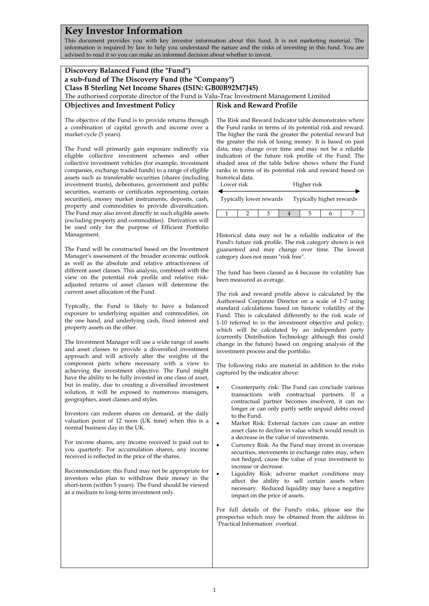## **Key Investor Information**

This document provides you with key investor information about this fund. It is not marketing material. The information is required by law to help you understand the nature and the risks of investing in this fund. You are advised to read it so you can make an informed decision about whether to invest.

| Discovery Balanced Fund (the "Fund")<br>a sub-fund of The Discovery Fund (the "Company")<br>Class B Sterling Net Income Shares (ISIN: GB00B92M7J45)<br>The authorised corporate director of the Fund is Valu-Trac Investment Management Limited                                                                                                                                                                                                                                                                                                                                                                                                                                                                                                                                                                                                                                                                                                                                                                                                                                                                                                                                                                                                                                                                                                                                                                                                                                                                                                                                                                                                                                                                                                                                                                                                                                                                                                                                                                                                                                                                                                                                                                                                                                                                                                                                                                                                                                                                                          |                                                                                                                                                                                                                                                                                                                                                                                                                                                                                                                                                                                                                                                                                                                                                                                                                                                                                                                                                                                                                                                                                                                                                                                                                                                                                                                                                                                                                                                                                                                                                                                                                                                                                                                                                                                                                                                                                                                                                                                                                                                                                                                                                                                                                                                                                                                                                                                                                                                                                                                                                                              |  |  |  |  |  |  |
|------------------------------------------------------------------------------------------------------------------------------------------------------------------------------------------------------------------------------------------------------------------------------------------------------------------------------------------------------------------------------------------------------------------------------------------------------------------------------------------------------------------------------------------------------------------------------------------------------------------------------------------------------------------------------------------------------------------------------------------------------------------------------------------------------------------------------------------------------------------------------------------------------------------------------------------------------------------------------------------------------------------------------------------------------------------------------------------------------------------------------------------------------------------------------------------------------------------------------------------------------------------------------------------------------------------------------------------------------------------------------------------------------------------------------------------------------------------------------------------------------------------------------------------------------------------------------------------------------------------------------------------------------------------------------------------------------------------------------------------------------------------------------------------------------------------------------------------------------------------------------------------------------------------------------------------------------------------------------------------------------------------------------------------------------------------------------------------------------------------------------------------------------------------------------------------------------------------------------------------------------------------------------------------------------------------------------------------------------------------------------------------------------------------------------------------------------------------------------------------------------------------------------------------|------------------------------------------------------------------------------------------------------------------------------------------------------------------------------------------------------------------------------------------------------------------------------------------------------------------------------------------------------------------------------------------------------------------------------------------------------------------------------------------------------------------------------------------------------------------------------------------------------------------------------------------------------------------------------------------------------------------------------------------------------------------------------------------------------------------------------------------------------------------------------------------------------------------------------------------------------------------------------------------------------------------------------------------------------------------------------------------------------------------------------------------------------------------------------------------------------------------------------------------------------------------------------------------------------------------------------------------------------------------------------------------------------------------------------------------------------------------------------------------------------------------------------------------------------------------------------------------------------------------------------------------------------------------------------------------------------------------------------------------------------------------------------------------------------------------------------------------------------------------------------------------------------------------------------------------------------------------------------------------------------------------------------------------------------------------------------------------------------------------------------------------------------------------------------------------------------------------------------------------------------------------------------------------------------------------------------------------------------------------------------------------------------------------------------------------------------------------------------------------------------------------------------------------------------------------------------|--|--|--|--|--|--|
| <b>Objectives and Investment Policy</b>                                                                                                                                                                                                                                                                                                                                                                                                                                                                                                                                                                                                                                                                                                                                                                                                                                                                                                                                                                                                                                                                                                                                                                                                                                                                                                                                                                                                                                                                                                                                                                                                                                                                                                                                                                                                                                                                                                                                                                                                                                                                                                                                                                                                                                                                                                                                                                                                                                                                                                  | <b>Risk and Reward Profile</b>                                                                                                                                                                                                                                                                                                                                                                                                                                                                                                                                                                                                                                                                                                                                                                                                                                                                                                                                                                                                                                                                                                                                                                                                                                                                                                                                                                                                                                                                                                                                                                                                                                                                                                                                                                                                                                                                                                                                                                                                                                                                                                                                                                                                                                                                                                                                                                                                                                                                                                                                               |  |  |  |  |  |  |
| The objective of the Fund is to provide returns through<br>a combination of capital growth and income over a<br>market cycle (5 years).<br>The Fund will primarily gain exposure indirectly via<br>eligible collective investment schemes and other<br>collective investment vehicles (for example, investment<br>companies, exchange traded funds) to a range of eligible<br>assets such as transferable securities (shares (including<br>investment trusts), debentures, government and public<br>securities, warrants or certificates representing certain<br>securities), money market instruments, deposits, cash,<br>property and commodities to provide diversification.<br>The Fund may also invest directly in such eligible assets<br>(excluding property and commodities). Derivatives will<br>be used only for the purpose of Efficient Portfolio<br>Management.<br>The Fund will be constructed based on the Investment<br>Manager's assessment of the broader economic outlook<br>as well as the absolute and relative attractiveness of<br>different asset classes. This analysis, combined with the<br>view on the potential risk profile and relative risk-<br>adjusted returns of asset classes will determine the<br>current asset allocation of the Fund.<br>Typically, the Fund is likely to have a balanced<br>exposure to underlying equities and commodities, on<br>the one hand, and underlying cash, fixed interest and<br>property assets on the other.<br>The Investment Manager will use a wide range of assets<br>and asset classes to provide a diversified investment<br>approach and will actively alter the weights of the<br>component parts where necessary with a view to<br>achieving the investment objective. The Fund might<br>have the ability to be fully invested in one class of asset,<br>but in reality, due to creating a diversified investment<br>solution, it will be exposed to numerous managers,<br>geographies, asset classes and styles.<br>Investors can redeem shares on demand, at the daily<br>valuation point of 12 noon (UK time) when this is a<br>normal business day in the UK.<br>For income shares, any income received is paid out to<br>you quarterly. For accumulation shares, any income<br>received is reflected in the price of the shares.<br>Recommendation: this Fund may not be appropriate for<br>investors who plan to withdraw their money in the<br>short-term (within 5 years). The Fund should be viewed<br>as a medium to long-term investment only. | The Risk and Reward Indicator table demonstrates where<br>the Fund ranks in terms of its potential risk and reward.<br>The higher the rank the greater the potential reward but<br>the greater the risk of losing money. It is based on past<br>data, may change over time and may not be a reliable<br>indication of the future risk profile of the Fund. The<br>shaded area of the table below shows where the Fund<br>ranks in terms of its potential risk and reward based on<br>historical data.<br>Lower risk<br>Higher risk<br>Typically higher rewards<br>Typically lower rewards<br>$\mathbf{1}$<br>$\overline{4}$<br>2<br>3<br>5<br>6<br>7<br>Historical data may not be a reliable indicator of the<br>Fund's future risk profile. The risk category shown is not<br>guaranteed and may change over time. The lowest<br>category does not mean "risk free".<br>The fund has been classed as 4 because its volatility has<br>been measured as average.<br>The risk and reward profile above is calculated by the<br>Authorised Corporate Director on a scale of 1-7 using<br>standard calculations based on historic volatility of the<br>Fund. This is calculated differently to the risk scale of<br>1-10 referred to in the investment objective and policy,<br>which will be calculated by an independent party<br>(currently Distribution Technology although this could<br>change in the future) based on ongoing analysis of the<br>investment process and the portfolio.<br>The following risks are material in addition to the risks<br>captured by the indicator above:<br>Counterparty risk: The Fund can conclude various<br>$\bullet$<br>transactions with contractual partners. If a<br>contractual partner becomes insolvent, it can no<br>longer or can only partly settle unpaid debts owed<br>to the Fund.<br>Market Risk: External factors can cause an entire<br>$\bullet$<br>asset class to decline in value which would result in<br>a decrease in the value of investments.<br>Currency Risk: As the Fund may invest in overseas<br>$\bullet$<br>securities, movements in exchange rates may, when<br>not hedged, cause the value of your investment to<br>increase or decrease.<br>Liquidity Risk: adverse market conditions may<br>$\bullet$<br>affect the ability to sell certain assets when<br>necessary. Reduced liquidity may have a negative<br>impact on the price of assets.<br>For full details of the Fund's risks, please see the<br>prospectus which may be obtained from the address in<br>'Practical Information' overleaf. |  |  |  |  |  |  |
|                                                                                                                                                                                                                                                                                                                                                                                                                                                                                                                                                                                                                                                                                                                                                                                                                                                                                                                                                                                                                                                                                                                                                                                                                                                                                                                                                                                                                                                                                                                                                                                                                                                                                                                                                                                                                                                                                                                                                                                                                                                                                                                                                                                                                                                                                                                                                                                                                                                                                                                                          |                                                                                                                                                                                                                                                                                                                                                                                                                                                                                                                                                                                                                                                                                                                                                                                                                                                                                                                                                                                                                                                                                                                                                                                                                                                                                                                                                                                                                                                                                                                                                                                                                                                                                                                                                                                                                                                                                                                                                                                                                                                                                                                                                                                                                                                                                                                                                                                                                                                                                                                                                                              |  |  |  |  |  |  |